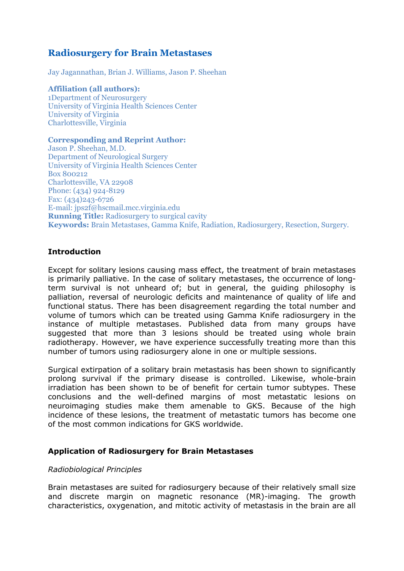# **Radiosurgery for Brain Metastases**

Jay Jagannathan, Brian J. Williams, Jason P. Sheehan

**Affiliation (all authors):** 1Department of Neurosurgery University of Virginia Health Sciences Center University of Virginia Charlottesville, Virginia

#### **Corresponding and Reprint Author:**

Jason P. Sheehan, M.D. Department of Neurological Surgery University of Virginia Health Sciences Center Box 800212 Charlottesville, VA 22908 Phone: (434) 924-8129 Fax: (434)243-6726 E-mail: jps2f@hscmail.mcc.virginia.edu **Running Title:** Radiosurgery to surgical cavity **Keywords:** Brain Metastases, Gamma Knife, Radiation, Radiosurgery, Resection, Surgery.

### **Introduction**

Except for solitary lesions causing mass effect, the treatment of brain metastases is primarily palliative. In the case of solitary metastases, the occurrence of longterm survival is not unheard of; but in general, the guiding philosophy is palliation, reversal of neurologic deficits and maintenance of quality of life and functional status. There has been disagreement regarding the total number and volume of tumors which can be treated using Gamma Knife radiosurgery in the instance of multiple metastases. Published data from many groups have suggested that more than 3 lesions should be treated using whole brain radiotherapy. However, we have experience successfully treating more than this number of tumors using radiosurgery alone in one or multiple sessions.

Surgical extirpation of a solitary brain metastasis has been shown to significantly prolong survival if the primary disease is controlled. Likewise, whole-brain irradiation has been shown to be of benefit for certain tumor subtypes. These conclusions and the well-defined margins of most metastatic lesions on neuroimaging studies make them amenable to GKS. Because of the high incidence of these lesions, the treatment of metastatic tumors has become one of the most common indications for GKS worldwide.

### **Application of Radiosurgery for Brain Metastases**

#### *Radiobiological Principles*

Brain metastases are suited for radiosurgery because of their relatively small size and discrete margin on magnetic resonance (MR)-imaging. The growth characteristics, oxygenation, and mitotic activity of metastasis in the brain are all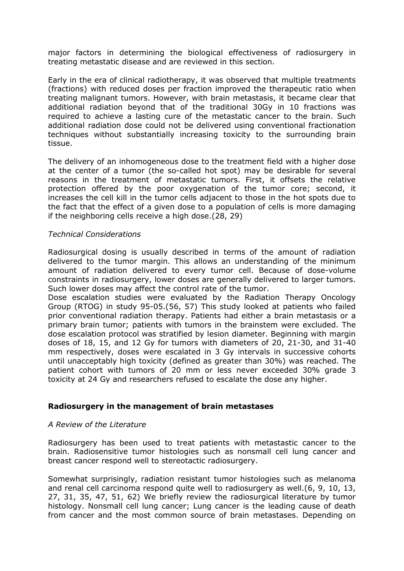major factors in determining the biological effectiveness of radiosurgery in treating metastatic disease and are reviewed in this section.

Early in the era of clinical radiotherapy, it was observed that multiple treatments (fractions) with reduced doses per fraction improved the therapeutic ratio when treating malignant tumors. However, with brain metastasis, it became clear that additional radiation beyond that of the traditional 30Gy in 10 fractions was required to achieve a lasting cure of the metastatic cancer to the brain. Such additional radiation dose could not be delivered using conventional fractionation techniques without substantially increasing toxicity to the surrounding brain tissue.

The delivery of an inhomogeneous dose to the treatment field with a higher dose at the center of a tumor (the so-called hot spot) may be desirable for several reasons in the treatment of metastatic tumors. First, it offsets the relative protection offered by the poor oxygenation of the tumor core; second, it increases the cell kill in the tumor cells adjacent to those in the hot spots due to the fact that the effect of a given dose to a population of cells is more damaging if the neighboring cells receive a high dose.(28, 29)

### *Technical Considerations*

Radiosurgical dosing is usually described in terms of the amount of radiation delivered to the tumor margin. This allows an understanding of the minimum amount of radiation delivered to every tumor cell. Because of dose-volume constraints in radiosurgery, lower doses are generally delivered to larger tumors. Such lower doses may affect the control rate of the tumor.

Dose escalation studies were evaluated by the Radiation Therapy Oncology Group (RTOG) in study 95-05.(56, 57) This study looked at patients who failed prior conventional radiation therapy. Patients had either a brain metastasis or a primary brain tumor; patients with tumors in the brainstem were excluded. The dose escalation protocol was stratified by lesion diameter. Beginning with margin doses of 18, 15, and 12 Gy for tumors with diameters of 20, 21-30, and 31-40 mm respectively, doses were escalated in 3 Gy intervals in successive cohorts until unacceptably high toxicity (defined as greater than 30%) was reached. The patient cohort with tumors of 20 mm or less never exceeded 30% grade 3 toxicity at 24 Gy and researchers refused to escalate the dose any higher.

#### **Radiosurgery in the management of brain metastases**

#### *A Review of the Literature*

Radiosurgery has been used to treat patients with metastastic cancer to the brain. Radiosensitive tumor histologies such as nonsmall cell lung cancer and breast cancer respond well to stereotactic radiosurgery.

Somewhat surprisingly, radiation resistant tumor histologies such as melanoma and renal cell carcinoma respond quite well to radiosurgery as well.(6, 9, 10, 13, 27, 31, 35, 47, 51, 62) We briefly review the radiosurgical literature by tumor histology. Nonsmall cell lung cancer; Lung cancer is the leading cause of death from cancer and the most common source of brain metastases. Depending on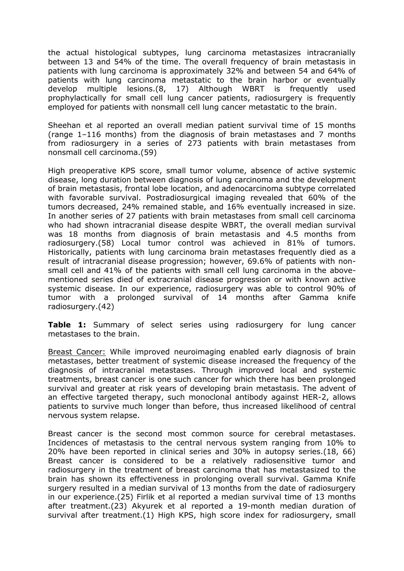the actual histological subtypes, lung carcinoma metastasizes intracranially between 13 and 54% of the time. The overall frequency of brain metastasis in patients with lung carcinoma is approximately 32% and between 54 and 64% of patients with lung carcinoma metastatic to the brain harbor or eventually develop multiple lesions.(8, 17) Although WBRT is frequently used prophylactically for small cell lung cancer patients, radiosurgery is frequently employed for patients with nonsmall cell lung cancer metastatic to the brain.

Sheehan et al reported an overall median patient survival time of 15 months (range 1–116 months) from the diagnosis of brain metastases and 7 months from radiosurgery in a series of 273 patients with brain metastases from nonsmall cell carcinoma.(59)

High preoperative KPS score, small tumor volume, absence of active systemic disease, long duration between diagnosis of lung carcinoma and the development of brain metastasis, frontal lobe location, and adenocarcinoma subtype correlated with favorable survival. Postradiosurgical imaging revealed that 60% of the tumors decreased, 24% remained stable, and 16% eventually increased in size. In another series of 27 patients with brain metastases from small cell carcinoma who had shown intracranial disease despite WBRT, the overall median survival was 18 months from diagnosis of brain metastasis and 4.5 months from radiosurgery.(58) Local tumor control was achieved in 81% of tumors. Historically, patients with lung carcinoma brain metastases frequently died as a result of intracranial disease progression; however, 69.6% of patients with nonsmall cell and 41% of the patients with small cell lung carcinoma in the abovementioned series died of extracranial disease progression or with known active systemic disease. In our experience, radiosurgery was able to control 90% of tumor with a prolonged survival of 14 months after Gamma knife radiosurgery.(42)

**Table 1:** Summary of select series using radiosurgery for lung cancer metastases to the brain.

Breast Cancer: While improved neuroimaging enabled early diagnosis of brain metastases, better treatment of systemic disease increased the frequency of the diagnosis of intracranial metastases. Through improved local and systemic treatments, breast cancer is one such cancer for which there has been prolonged survival and greater at risk years of developing brain metastasis. The advent of an effective targeted therapy, such monoclonal antibody against HER-2, allows patients to survive much longer than before, thus increased likelihood of central nervous system relapse.

Breast cancer is the second most common source for cerebral metastases. Incidences of metastasis to the central nervous system ranging from 10% to 20% have been reported in clinical series and 30% in autopsy series.(18, 66) Breast cancer is considered to be a relatively radiosensitive tumor and radiosurgery in the treatment of breast carcinoma that has metastasized to the brain has shown its effectiveness in prolonging overall survival. Gamma Knife surgery resulted in a median survival of 13 months from the date of radiosurgery in our experience.(25) Firlik et al reported a median survival time of 13 months after treatment.(23) Akyurek et al reported a 19-month median duration of survival after treatment.(1) High KPS, high score index for radiosurgery, small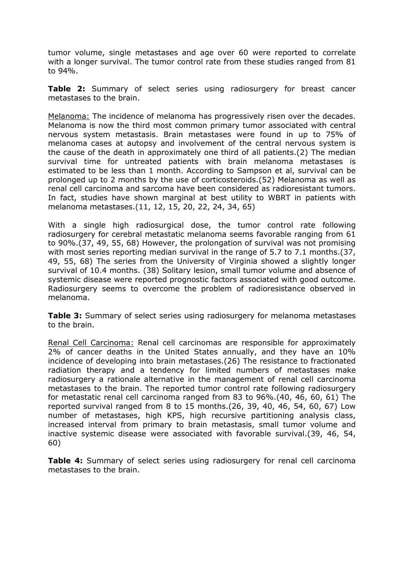tumor volume, single metastases and age over 60 were reported to correlate with a longer survival. The tumor control rate from these studies ranged from 81 to 94%.

**Table 2:** Summary of select series using radiosurgery for breast cancer metastases to the brain.

Melanoma: The incidence of melanoma has progressively risen over the decades. Melanoma is now the third most common primary tumor associated with central nervous system metastasis. Brain metastases were found in up to 75% of melanoma cases at autopsy and involvement of the central nervous system is the cause of the death in approximately one third of all patients.(2) The median survival time for untreated patients with brain melanoma metastases is estimated to be less than 1 month. According to Sampson et al, survival can be prolonged up to 2 months by the use of corticosteroids.(52) Melanoma as well as renal cell carcinoma and sarcoma have been considered as radioresistant tumors. In fact, studies have shown marginal at best utility to WBRT in patients with melanoma metastases.(11, 12, 15, 20, 22, 24, 34, 65)

With a single high radiosurgical dose, the tumor control rate following radiosurgery for cerebral metastatic melanoma seems favorable ranging from 61 to 90%.(37, 49, 55, 68) However, the prolongation of survival was not promising with most series reporting median survival in the range of 5.7 to 7.1 months. (37, 49, 55, 68) The series from the University of Virginia showed a slightly longer survival of 10.4 months. (38) Solitary lesion, small tumor volume and absence of systemic disease were reported prognostic factors associated with good outcome. Radiosurgery seems to overcome the problem of radioresistance observed in melanoma.

**Table 3:** Summary of select series using radiosurgery for melanoma metastases to the brain.

Renal Cell Carcinoma: Renal cell carcinomas are responsible for approximately 2% of cancer deaths in the United States annually, and they have an 10% incidence of developing into brain metastases.(26) The resistance to fractionated radiation therapy and a tendency for limited numbers of metastases make radiosurgery a rationale alternative in the management of renal cell carcinoma metastases to the brain. The reported tumor control rate following radiosurgery for metastatic renal cell carcinoma ranged from 83 to 96%.(40, 46, 60, 61) The reported survival ranged from 8 to 15 months.(26, 39, 40, 46, 54, 60, 67) Low number of metastases, high KPS, high recursive partitioning analysis class, increased interval from primary to brain metastasis, small tumor volume and inactive systemic disease were associated with favorable survival.(39, 46, 54, 60)

**Table 4:** Summary of select series using radiosurgery for renal cell carcinoma metastases to the brain.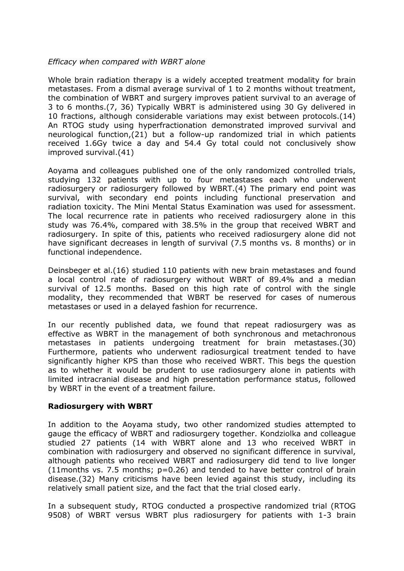### *Efficacy when compared with WBRT alone*

Whole brain radiation therapy is a widely accepted treatment modality for brain metastases. From a dismal average survival of 1 to 2 months without treatment, the combination of WBRT and surgery improves patient survival to an average of 3 to 6 months.(7, 36) Typically WBRT is administered using 30 Gy delivered in 10 fractions, although considerable variations may exist between protocols.(14) An RTOG study using hyperfractionation demonstrated improved survival and neurological function,(21) but a follow-up randomized trial in which patients received 1.6Gy twice a day and 54.4 Gy total could not conclusively show improved survival.(41)

Aoyama and colleagues published one of the only randomized controlled trials, studying 132 patients with up to four metastases each who underwent radiosurgery or radiosurgery followed by WBRT.(4) The primary end point was survival, with secondary end points including functional preservation and radiation toxicity. The Mini Mental Status Examination was used for assessment. The local recurrence rate in patients who received radiosurgery alone in this study was 76.4%, compared with 38.5% in the group that received WBRT and radiosurgery. In spite of this, patients who received radiosurgery alone did not have significant decreases in length of survival (7.5 months vs. 8 months) or in functional independence.

Deinsbeger et al.(16) studied 110 patients with new brain metastases and found a local control rate of radiosurgery without WBRT of 89.4% and a median survival of 12.5 months. Based on this high rate of control with the single modality, they recommended that WBRT be reserved for cases of numerous metastases or used in a delayed fashion for recurrence.

In our recently published data, we found that repeat radiosurgery was as effective as WBRT in the management of both synchronous and metachronous metastases in patients undergoing treatment for brain metastases.(30) Furthermore, patients who underwent radiosurgical treatment tended to have significantly higher KPS than those who received WBRT. This begs the question as to whether it would be prudent to use radiosurgery alone in patients with limited intracranial disease and high presentation performance status, followed by WBRT in the event of a treatment failure.

#### **Radiosurgery with WBRT**

In addition to the Aoyama study, two other randomized studies attempted to gauge the efficacy of WBRT and radiosurgery together. Kondziolka and colleague studied 27 patients (14 with WBRT alone and 13 who received WBRT in combination with radiosurgery and observed no significant difference in survival, although patients who received WBRT and radiosurgery did tend to live longer  $(11$ months vs. 7.5 months;  $p=0.26$ ) and tended to have better control of brain disease.(32) Many criticisms have been levied against this study, including its relatively small patient size, and the fact that the trial closed early.

In a subsequent study, RTOG conducted a prospective randomized trial (RTOG 9508) of WBRT versus WBRT plus radiosurgery for patients with 1-3 brain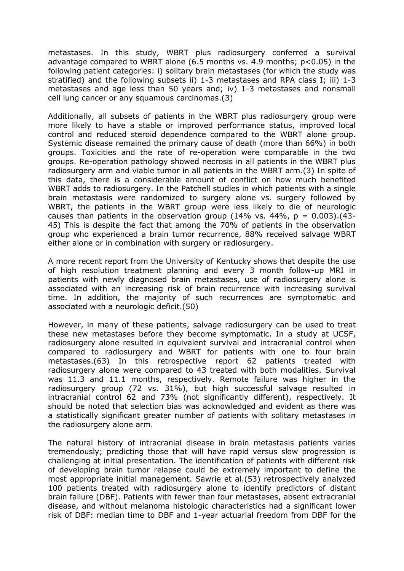metastases. In this study, WBRT plus radiosurgery conferred a survival advantage compared to WBRT alone (6.5 months vs. 4.9 months; p<0.05) in the following patient categories: i) solitary brain metastases (for which the study was stratified) and the following subsets ii) 1-3 metastases and RPA class I; iii) 1-3 metastases and age less than 50 years and; iv) 1-3 metastases and nonsmall cell lung cancer or any squamous carcinomas.(3)

Additionally, all subsets of patients in the WBRT plus radiosurgery group were more likely to have a stable or improved performance status, improved local control and reduced steroid dependence compared to the WBRT alone group. Systemic disease remained the primary cause of death (more than 66%) in both groups. Toxicities and the rate of re-operation were comparable in the two groups. Re-operation pathology showed necrosis in all patients in the WBRT plus radiosurgery arm and viable tumor in all patients in the WBRT arm.(3) In spite of this data, there is a considerable amount of conflict on how much benefited WBRT adds to radiosurgery. In the Patchell studies in which patients with a single brain metastasis were randomized to surgery alone vs. surgery followed by WBRT, the patients in the WBRT group were less likely to die of neurologic causes than patients in the observation group (14% vs. 44%,  $p = 0.003$ ). (43-45) This is despite the fact that among the 70% of patients in the observation group who experienced a brain tumor recurrence, 88% received salvage WBRT either alone or in combination with surgery or radiosurgery.

A more recent report from the University of Kentucky shows that despite the use of high resolution treatment planning and every 3 month follow-up MRI in patients with newly diagnosed brain metastases, use of radiosurgery alone is associated with an increasing risk of brain recurrence with increasing survival time. In addition, the majority of such recurrences are symptomatic and associated with a neurologic deficit.(50)

However, in many of these patients, salvage radiosurgery can be used to treat these new metastases before they become symptomatic. In a study at UCSF, radiosurgery alone resulted in equivalent survival and intracranial control when compared to radiosurgery and WBRT for patients with one to four brain metastases.(63) In this retrospective report 62 patients treated with radiosurgery alone were compared to 43 treated with both modalities. Survival was 11.3 and 11.1 months, respectively. Remote failure was higher in the radiosurgery group (72 vs. 31%), but high successful salvage resulted in intracranial control 62 and 73% (not significantly different), respectively. It should be noted that selection bias was acknowledged and evident as there was a statistically significant greater number of patients with solitary metastases in the radiosurgery alone arm.

The natural history of intracranial disease in brain metastasis patients varies tremendously; predicting those that will have rapid versus slow progression is challenging at initial presentation. The identification of patients with different risk of developing brain tumor relapse could be extremely important to define the most appropriate initial management. Sawrie et al.(53) retrospectively analyzed 100 patients treated with radiosurgery alone to identify predictors of distant brain failure (DBF). Patients with fewer than four metastases, absent extracranial disease, and without melanoma histologic characteristics had a significant lower risk of DBF: median time to DBF and 1-year actuarial freedom from DBF for the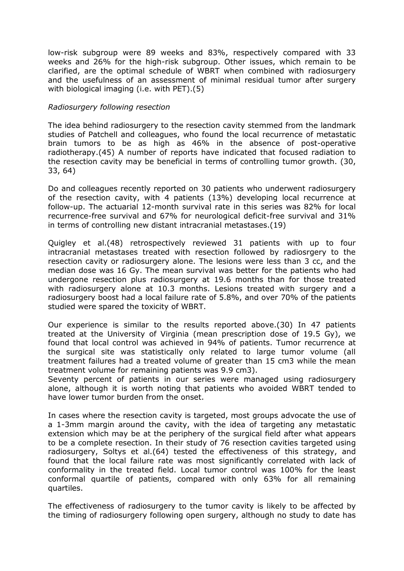low-risk subgroup were 89 weeks and 83%, respectively compared with 33 weeks and 26% for the high-risk subgroup. Other issues, which remain to be clarified, are the optimal schedule of WBRT when combined with radiosurgery and the usefulness of an assessment of minimal residual tumor after surgery with biological imaging (i.e. with PET).(5)

### *Radiosurgery following resection*

The idea behind radiosurgery to the resection cavity stemmed from the landmark studies of Patchell and colleagues, who found the local recurrence of metastatic brain tumors to be as high as 46% in the absence of post-operative radiotherapy.(45) A number of reports have indicated that focused radiation to the resection cavity may be beneficial in terms of controlling tumor growth. (30, 33, 64)

Do and colleagues recently reported on 30 patients who underwent radiosurgery of the resection cavity, with 4 patients (13%) developing local recurrence at follow-up. The actuarial 12-month survival rate in this series was 82% for local recurrence-free survival and 67% for neurological deficit-free survival and 31% in terms of controlling new distant intracranial metastases.(19)

Quigley et al.(48) retrospectively reviewed 31 patients with up to four intracranial metastases treated with resection followed by radiosrgery to the resection cavity or radiosurgery alone. The lesions were less than 3 cc, and the median dose was 16 Gy. The mean survival was better for the patients who had undergone resection plus radiosurgery at 19.6 months than for those treated with radiosurgery alone at 10.3 months. Lesions treated with surgery and a radiosurgery boost had a local failure rate of 5.8%, and over 70% of the patients studied were spared the toxicity of WBRT.

Our experience is similar to the results reported above.(30) In 47 patients treated at the University of Virginia (mean prescription dose of 19.5 Gy), we found that local control was achieved in 94% of patients. Tumor recurrence at the surgical site was statistically only related to large tumor volume (all treatment failures had a treated volume of greater than 15 cm3 while the mean treatment volume for remaining patients was 9.9 cm3).

Seventy percent of patients in our series were managed using radiosurgery alone, although it is worth noting that patients who avoided WBRT tended to have lower tumor burden from the onset.

In cases where the resection cavity is targeted, most groups advocate the use of a 1-3mm margin around the cavity, with the idea of targeting any metastatic extension which may be at the periphery of the surgical field after what appears to be a complete resection. In their study of 76 resection cavities targeted using radiosurgery, Soltys et al.(64) tested the effectiveness of this strategy, and found that the local failure rate was most significantly correlated with lack of conformality in the treated field. Local tumor control was 100% for the least conformal quartile of patients, compared with only 63% for all remaining quartiles.

The effectiveness of radiosurgery to the tumor cavity is likely to be affected by the timing of radiosurgery following open surgery, although no study to date has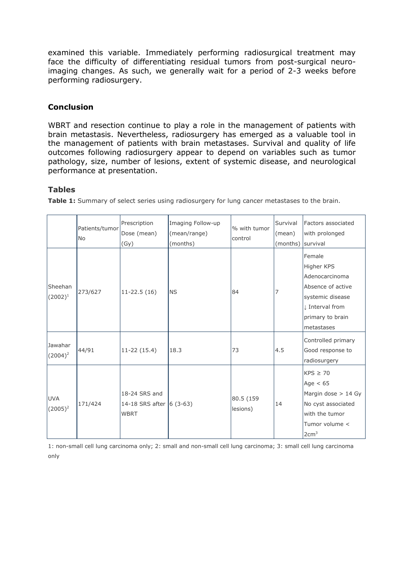examined this variable. Immediately performing radiosurgical treatment may face the difficulty of differentiating residual tumors from post-surgical neuroimaging changes. As such, we generally wait for a period of 2-3 weeks before performing radiosurgery.

# **Conclusion**

WBRT and resection continue to play a role in the management of patients with brain metastasis. Nevertheless, radiosurgery has emerged as a valuable tool in the management of patients with brain metastases. Survival and quality of life outcomes following radiosurgery appear to depend on variables such as tumor pathology, size, number of lesions, extent of systemic disease, and neurological performance at presentation.

### **Tables**

**Table 1:** Summary of select series using radiosurgery for lung cancer metastases to the brain.

|                          | Patients/tumor<br>N <sub>o</sub> | Prescription<br>Dose (mean)<br>(Gy)                      | Imaging Follow-up<br>(mean/range)<br>(months) | % with tumor<br>control | Survival<br>(mean)<br>(months) survival | Factors associated<br>with prolonged                                                                                                 |
|--------------------------|----------------------------------|----------------------------------------------------------|-----------------------------------------------|-------------------------|-----------------------------------------|--------------------------------------------------------------------------------------------------------------------------------------|
| Sheehan<br>$(2002)^1$    | 273/627                          | $11 - 22.5(16)$                                          | <b>NS</b>                                     | 84                      | 7                                       | Female<br>Higher KPS<br>Adenocarcinoma<br>Absence of active<br>systemic disease<br>I Interval from<br>primary to brain<br>metastases |
| Jawahar<br>$(2004)^2$    | 44/91                            | $11-22(15.4)$                                            | 18.3                                          | 73                      | 4.5                                     | Controlled primary<br>Good response to<br>radiosurgery                                                                               |
| <b>UVA</b><br>$(2005)^2$ | 171/424                          | 18-24 SRS and<br>14-18 SRS after 6 (3-63)<br><b>WBRT</b> |                                               | 80.5 (159<br>lesions)   | 14                                      | $KPS \geq 70$<br>Age $< 65$<br>Margin dose $> 14$ Gy<br>No cyst associated<br>with the tumor<br>Tumor volume <<br>2cm <sup>3</sup>   |

1: non-small cell lung carcinoma only; 2: small and non-small cell lung carcinoma; 3: small cell lung carcinoma only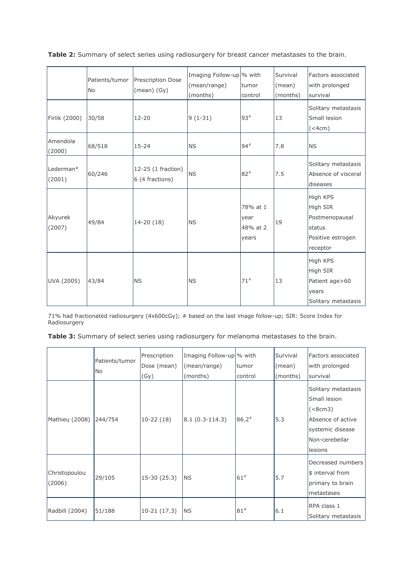|                     | Patients/tumor<br>No | Prescription Dose<br>$(mean)$ $(Gy)$  | Imaging Follow-up \% with<br>(mean/range)<br>(months) | tumor<br>control                      | Survival<br>(mean)<br>(months) | Factors associated<br>with prolonged<br>survival                                  |
|---------------------|----------------------|---------------------------------------|-------------------------------------------------------|---------------------------------------|--------------------------------|-----------------------------------------------------------------------------------|
| Firlik (2000)       | 30/58                | $12 - 20$                             | $9(1-31)$                                             | $93*$                                 | 13                             | Solitary metastasis<br>Small lesion<br>$(<$ 4cm $)$                               |
| Amendola<br>(2000)  | 68/518               | $15 - 24$                             | <b>NS</b>                                             | $94*$                                 | 7.8                            | <b>NS</b>                                                                         |
| Lederman*<br>(2001) | 60/246               | 12-25 (1 fraction)<br>6 (4 fractions) | <b>NS</b>                                             | $82*$                                 | 7.5                            | Solitary metastasis<br>Absence of visceral<br>diseases                            |
| Akyurek<br>(2007)   | 49/84                | $14-20(18)$                           | <b>NS</b>                                             | 78% at 1<br>year<br>48% at 2<br>years | 19                             | High KPS<br>High SIR<br>Postmenopausal<br>status<br>Positive estrogen<br>receptor |
| UVA (2005)          | 43/84                | <b>NS</b>                             | <b>NS</b>                                             | $71*$                                 | 13                             | High KPS<br>High SIR<br>Patient age>60<br>years<br>Solitary metastasis            |

**Table 2:** Summary of select series using radiosurgery for breast cancer metastases to the brain.

71% had fractionated radiosurgery (4x600cGy); # based on the last image follow-up; SIR: Score Index for Radiosurgery

**Table 3:** Summary of select series using radiosurgery for melanoma metastases to the brain.

|                         | Patients/tumor<br><b>No</b> | Prescription<br>Dose (mean) | Imaging Follow-up \% with<br>(mean/range) | <b>Itumor</b> | Survival<br>(mean) | Factors associated<br>with prolonged                                                                                  |
|-------------------------|-----------------------------|-----------------------------|-------------------------------------------|---------------|--------------------|-----------------------------------------------------------------------------------------------------------------------|
|                         |                             | (Gy)                        | (months)                                  | control       | (months)           | survival                                                                                                              |
| Mathieu (2008)          | 244/754                     | $10-22(18)$                 | $ 8.1(0.3-114.3) $                        | $86.2*$       | 5.3                | Solitary metastasis<br>Small lesion<br>$(8cm3)$<br>Absence of active<br>systemic disease<br>Non-cerebellar<br>lesions |
| Christopoulou<br>(2006) | 29/105                      | $15-30(25.3)$               | <b>NS</b>                                 | $61*$         | 5.7                | Decreased numbers<br>\$ interval from<br>primary to brain<br>metastases                                               |
| Radbill (2004)          | 51/188                      | $10-21(17.3)$               | <b>NS</b>                                 | $81*$         | 6.1                | RPA class 1<br>Solitary metastasis                                                                                    |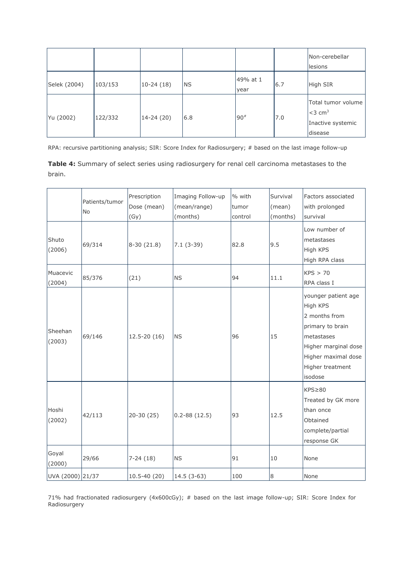|              |         |             |           |                  |     | Non-cerebellar<br>lesions                                                   |
|--------------|---------|-------------|-----------|------------------|-----|-----------------------------------------------------------------------------|
| Selek (2004) | 103/153 | $10-24(18)$ | <b>NS</b> | 49% at 1<br>year | 6.7 | High SIR                                                                    |
| Yu (2002)    | 122/332 | 14-24 (20)  | 6.8       | $90*$            | 7.0 | Total tumor volume<br>$<$ 3 cm <sup>3</sup><br>Inactive systemic<br>disease |

RPA: recursive partitioning analysis; SIR: Score Index for Radiosurgery; # based on the last image follow-up

**Table 4:** Summary of select series using radiosurgery for renal cell carcinoma metastases to the brain.

|                    | Patients/tumor<br>No | Prescription<br>Dose (mean)<br>(Gy) | Imaging Follow-up<br>(mean/range)<br>(months) | % with<br>tumor<br>control | Survival<br>(mean)<br>(months) | Factors associated<br>with prolonged<br>survival                                                                                                                 |
|--------------------|----------------------|-------------------------------------|-----------------------------------------------|----------------------------|--------------------------------|------------------------------------------------------------------------------------------------------------------------------------------------------------------|
| Shuto<br>(2006)    | 69/314               | $8-30(21.8)$                        | $7.1(3-39)$                                   | 82.8                       | 9.5                            | Low number of<br>metastases<br>High KPS<br>High RPA class                                                                                                        |
| Muacevic<br>(2004) | 85/376               | (21)                                | <b>NS</b>                                     | 94                         | 11.1                           | KPS > 70<br>RPA class I                                                                                                                                          |
| Sheehan<br>(2003)  | 69/146               | $12.5 - 20(16)$                     | <b>NS</b>                                     | 96                         | 15                             | younger patient age<br>High KPS<br>2 months from<br>primary to brain<br>metastases<br>Higher marginal dose<br>Higher maximal dose<br>Higher treatment<br>isodose |
| Hoshi<br>(2002)    | 42/113               | $20-30(25)$                         | $0.2 - 88(12.5)$                              | 93                         | 12.5                           | $KPS \geq 80$<br>Treated by GK more<br>than once<br>Obtained<br>complete/partial<br>response GK                                                                  |
| Goyal<br>(2000)    | 29/66                | $7-24(18)$                          | <b>NS</b>                                     | 91                         | 10                             | None                                                                                                                                                             |
| UVA (2000) 21/37   |                      | 10.5-40 (20)                        | $14.5(3-63)$                                  | 100                        | 8                              | None                                                                                                                                                             |

71% had fractionated radiosurgery (4x600cGy); # based on the last image follow-up; SIR: Score Index for Radiosurgery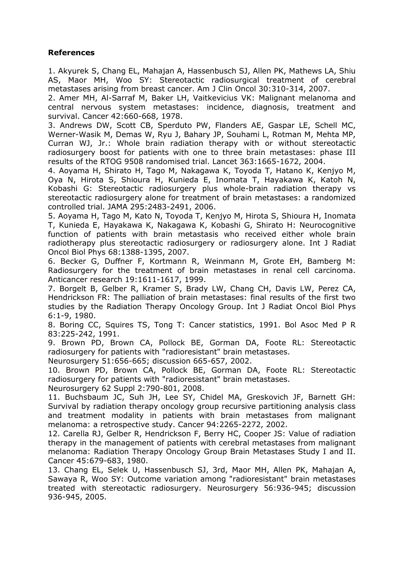## **References**

1. Akyurek S, Chang EL, Mahajan A, Hassenbusch SJ, Allen PK, Mathews LA, Shiu AS, Maor MH, Woo SY: Stereotactic radiosurgical treatment of cerebral metastases arising from breast cancer. Am J Clin Oncol 30:310-314, 2007.

2. Amer MH, Al-Sarraf M, Baker LH, Vaitkevicius VK: Malignant melanoma and central nervous system metastases: incidence, diagnosis, treatment and survival. Cancer 42:660-668, 1978.

3. Andrews DW, Scott CB, Sperduto PW, Flanders AE, Gaspar LE, Schell MC, Werner-Wasik M, Demas W, Ryu J, Bahary JP, Souhami L, Rotman M, Mehta MP, Curran WJ, Jr.: Whole brain radiation therapy with or without stereotactic radiosurgery boost for patients with one to three brain metastases: phase III results of the RTOG 9508 randomised trial. Lancet 363:1665-1672, 2004.

4. Aoyama H, Shirato H, Tago M, Nakagawa K, Toyoda T, Hatano K, Kenjyo M, Oya N, Hirota S, Shioura H, Kunieda E, Inomata T, Hayakawa K, Katoh N, Kobashi G: Stereotactic radiosurgery plus whole-brain radiation therapy vs stereotactic radiosurgery alone for treatment of brain metastases: a randomized controlled trial. JAMA 295:2483-2491, 2006.

5. Aoyama H, Tago M, Kato N, Toyoda T, Kenjyo M, Hirota S, Shioura H, Inomata T, Kunieda E, Hayakawa K, Nakagawa K, Kobashi G, Shirato H: Neurocognitive function of patients with brain metastasis who received either whole brain radiotherapy plus stereotactic radiosurgery or radiosurgery alone. Int J Radiat Oncol Biol Phys 68:1388-1395, 2007.

6. Becker G, Duffner F, Kortmann R, Weinmann M, Grote EH, Bamberg M: Radiosurgery for the treatment of brain metastases in renal cell carcinoma. Anticancer research 19:1611-1617, 1999.

7. Borgelt B, Gelber R, Kramer S, Brady LW, Chang CH, Davis LW, Perez CA, Hendrickson FR: The palliation of brain metastases: final results of the first two studies by the Radiation Therapy Oncology Group. Int J Radiat Oncol Biol Phys 6:1-9, 1980.

8. Boring CC, Squires TS, Tong T: Cancer statistics, 1991. Bol Asoc Med P R 83:225-242, 1991.

9. Brown PD, Brown CA, Pollock BE, Gorman DA, Foote RL: Stereotactic radiosurgery for patients with "radioresistant" brain metastases.

Neurosurgery 51:656-665; discussion 665-657, 2002.

10. Brown PD, Brown CA, Pollock BE, Gorman DA, Foote RL: Stereotactic radiosurgery for patients with "radioresistant" brain metastases.

Neurosurgery 62 Suppl 2:790-801, 2008.

11. Buchsbaum JC, Suh JH, Lee SY, Chidel MA, Greskovich JF, Barnett GH: Survival by radiation therapy oncology group recursive partitioning analysis class and treatment modality in patients with brain metastases from malignant melanoma: a retrospective study. Cancer 94:2265-2272, 2002.

12. Carella RJ, Gelber R, Hendrickson F, Berry HC, Cooper JS: Value of radiation therapy in the management of patients with cerebral metastases from malignant melanoma: Radiation Therapy Oncology Group Brain Metastases Study I and II. Cancer 45:679-683, 1980.

13. Chang EL, Selek U, Hassenbusch SJ, 3rd, Maor MH, Allen PK, Mahajan A, Sawaya R, Woo SY: Outcome variation among "radioresistant" brain metastases treated with stereotactic radiosurgery. Neurosurgery 56:936-945; discussion 936-945, 2005.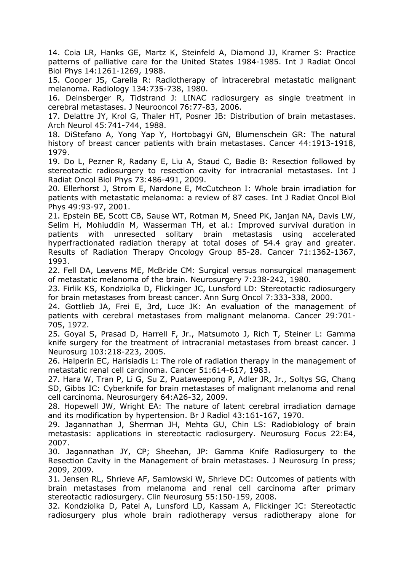14. Coia LR, Hanks GE, Martz K, Steinfeld A, Diamond JJ, Kramer S: Practice patterns of palliative care for the United States 1984-1985. Int J Radiat Oncol Biol Phys 14:1261-1269, 1988.

15. Cooper JS, Carella R: Radiotherapy of intracerebral metastatic malignant melanoma. Radiology 134:735-738, 1980.

16. Deinsberger R, Tidstrand J: LINAC radiosurgery as single treatment in cerebral metastases. J Neurooncol 76:77-83, 2006.

17. Delattre JY, Krol G, Thaler HT, Posner JB: Distribution of brain metastases. Arch Neurol 45:741-744, 1988.

18. DiStefano A, Yong Yap Y, Hortobagyi GN, Blumenschein GR: The natural history of breast cancer patients with brain metastases. Cancer 44:1913-1918, 1979.

19. Do L, Pezner R, Radany E, Liu A, Staud C, Badie B: Resection followed by stereotactic radiosurgery to resection cavity for intracranial metastases. Int J Radiat Oncol Biol Phys 73:486-491, 2009.

20. Ellerhorst J, Strom E, Nardone E, McCutcheon I: Whole brain irradiation for patients with metastatic melanoma: a review of 87 cases. Int J Radiat Oncol Biol Phys 49:93-97, 2001.

21. Epstein BE, Scott CB, Sause WT, Rotman M, Sneed PK, Janjan NA, Davis LW, Selim H, Mohiuddin M, Wasserman TH, et al.: Improved survival duration in patients with unresected solitary brain metastasis using accelerated hyperfractionated radiation therapy at total doses of 54.4 gray and greater. Results of Radiation Therapy Oncology Group 85-28. Cancer 71:1362-1367, 1993.

22. Fell DA, Leavens ME, McBride CM: Surgical versus nonsurgical management of metastatic melanoma of the brain. Neurosurgery 7:238-242, 1980.

23. Firlik KS, Kondziolka D, Flickinger JC, Lunsford LD: Stereotactic radiosurgery for brain metastases from breast cancer. Ann Surg Oncol 7:333-338, 2000.

24. Gottlieb JA, Frei E, 3rd, Luce JK: An evaluation of the management of patients with cerebral metastases from malignant melanoma. Cancer 29:701- 705, 1972.

25. Goyal S, Prasad D, Harrell F, Jr., Matsumoto J, Rich T, Steiner L: Gamma knife surgery for the treatment of intracranial metastases from breast cancer. J Neurosurg 103:218-223, 2005.

26. Halperin EC, Harisiadis L: The role of radiation therapy in the management of metastatic renal cell carcinoma. Cancer 51:614-617, 1983.

27. Hara W, Tran P, Li G, Su Z, Puataweepong P, Adler JR, Jr., Soltys SG, Chang SD, Gibbs IC: Cyberknife for brain metastases of malignant melanoma and renal cell carcinoma. Neurosurgery 64:A26-32, 2009.

28. Hopewell JW, Wright EA: The nature of latent cerebral irradiation damage and its modification by hypertension. Br J Radiol 43:161-167, 1970.

29. Jagannathan J, Sherman JH, Mehta GU, Chin LS: Radiobiology of brain metastasis: applications in stereotactic radiosurgery. Neurosurg Focus 22:E4, 2007.

30. Jagannathan JY, CP; Sheehan, JP: Gamma Knife Radiosurgery to the Resection Cavity in the Management of brain metastases. J Neurosurg In press; 2009, 2009.

31. Jensen RL, Shrieve AF, Samlowski W, Shrieve DC: Outcomes of patients with brain metastases from melanoma and renal cell carcinoma after primary stereotactic radiosurgery. Clin Neurosurg 55:150-159, 2008.

32. Kondziolka D, Patel A, Lunsford LD, Kassam A, Flickinger JC: Stereotactic radiosurgery plus whole brain radiotherapy versus radiotherapy alone for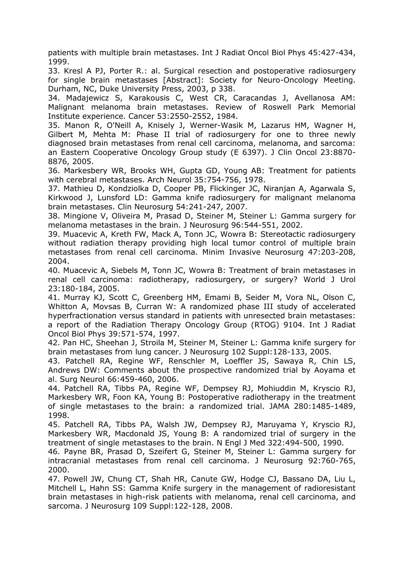patients with multiple brain metastases. Int J Radiat Oncol Biol Phys 45:427-434, 1999.

33. Kresl A PJ, Porter R.: al. Surgical resection and postoperative radiosurgery for single brain metastases [Abstract]: Society for Neuro-Oncology Meeting. Durham, NC, Duke University Press, 2003, p 338.

34. Madajewicz S, Karakousis C, West CR, Caracandas J, Avellanosa AM: Malignant melanoma brain metastases. Review of Roswell Park Memorial Institute experience. Cancer 53:2550-2552, 1984.

35. Manon R, O'Neill A, Knisely J, Werner-Wasik M, Lazarus HM, Wagner H, Gilbert M, Mehta M: Phase II trial of radiosurgery for one to three newly diagnosed brain metastases from renal cell carcinoma, melanoma, and sarcoma: an Eastern Cooperative Oncology Group study (E 6397). J Clin Oncol 23:8870- 8876, 2005.

36. Markesbery WR, Brooks WH, Gupta GD, Young AB: Treatment for patients with cerebral metastases. Arch Neurol 35:754-756, 1978.

37. Mathieu D, Kondziolka D, Cooper PB, Flickinger JC, Niranjan A, Agarwala S, Kirkwood J, Lunsford LD: Gamma knife radiosurgery for malignant melanoma brain metastases. Clin Neurosurg 54:241-247, 2007.

38. Mingione V, Oliveira M, Prasad D, Steiner M, Steiner L: Gamma surgery for melanoma metastases in the brain. J Neurosurg 96:544-551, 2002.

39. Muacevic A, Kreth FW, Mack A, Tonn JC, Wowra B: Stereotactic radiosurgery without radiation therapy providing high local tumor control of multiple brain metastases from renal cell carcinoma. Minim Invasive Neurosurg 47:203-208, 2004.

40. Muacevic A, Siebels M, Tonn JC, Wowra B: Treatment of brain metastases in renal cell carcinoma: radiotherapy, radiosurgery, or surgery? World J Urol 23:180-184, 2005.

41. Murray KJ, Scott C, Greenberg HM, Emami B, Seider M, Vora NL, Olson C, Whitton A, Movsas B, Curran W: A randomized phase III study of accelerated hyperfractionation versus standard in patients with unresected brain metastases: a report of the Radiation Therapy Oncology Group (RTOG) 9104. Int J Radiat Oncol Biol Phys 39:571-574, 1997.

42. Pan HC, Sheehan J, Stroila M, Steiner M, Steiner L: Gamma knife surgery for brain metastases from lung cancer. J Neurosurg 102 Suppl:128-133, 2005.

43. Patchell RA, Regine WF, Renschler M, Loeffler JS, Sawaya R, Chin LS, Andrews DW: Comments about the prospective randomized trial by Aoyama et al. Surg Neurol 66:459-460, 2006.

44. Patchell RA, Tibbs PA, Regine WF, Dempsey RJ, Mohiuddin M, Kryscio RJ, Markesbery WR, Foon KA, Young B: Postoperative radiotherapy in the treatment of single metastases to the brain: a randomized trial. JAMA 280:1485-1489, 1998.

45. Patchell RA, Tibbs PA, Walsh JW, Dempsey RJ, Maruyama Y, Kryscio RJ, Markesbery WR, Macdonald JS, Young B: A randomized trial of surgery in the treatment of single metastases to the brain. N Engl J Med 322:494-500, 1990.

46. Payne BR, Prasad D, Szeifert G, Steiner M, Steiner L: Gamma surgery for intracranial metastases from renal cell carcinoma. J Neurosurg 92:760-765, 2000.

47. Powell JW, Chung CT, Shah HR, Canute GW, Hodge CJ, Bassano DA, Liu L, Mitchell L, Hahn SS: Gamma Knife surgery in the management of radioresistant brain metastases in high-risk patients with melanoma, renal cell carcinoma, and sarcoma. J Neurosurg 109 Suppl:122-128, 2008.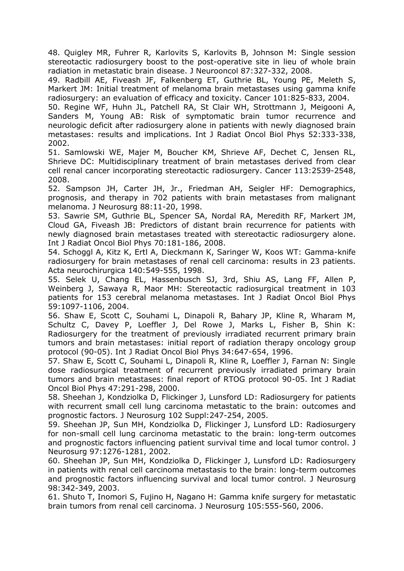48. Quigley MR, Fuhrer R, Karlovits S, Karlovits B, Johnson M: Single session stereotactic radiosurgery boost to the post-operative site in lieu of whole brain radiation in metastatic brain disease. J Neurooncol 87:327-332, 2008.

49. Radbill AE, Fiveash JF, Falkenberg ET, Guthrie BL, Young PE, Meleth S, Markert JM: Initial treatment of melanoma brain metastases using gamma knife radiosurgery: an evaluation of efficacy and toxicity. Cancer 101:825-833, 2004.

50. Regine WF, Huhn JL, Patchell RA, St Clair WH, Strottmann J, Meigooni A, Sanders M, Young AB: Risk of symptomatic brain tumor recurrence and neurologic deficit after radiosurgery alone in patients with newly diagnosed brain metastases: results and implications. Int J Radiat Oncol Biol Phys 52:333-338, 2002.

51. Samlowski WE, Majer M, Boucher KM, Shrieve AF, Dechet C, Jensen RL, Shrieve DC: Multidisciplinary treatment of brain metastases derived from clear cell renal cancer incorporating stereotactic radiosurgery. Cancer 113:2539-2548, 2008.

52. Sampson JH, Carter JH, Jr., Friedman AH, Seigler HF: Demographics, prognosis, and therapy in 702 patients with brain metastases from malignant melanoma. J Neurosurg 88:11-20, 1998.

53. Sawrie SM, Guthrie BL, Spencer SA, Nordal RA, Meredith RF, Markert JM, Cloud GA, Fiveash JB: Predictors of distant brain recurrence for patients with newly diagnosed brain metastases treated with stereotactic radiosurgery alone. Int J Radiat Oncol Biol Phys 70:181-186, 2008.

54. Schoggl A, Kitz K, Ertl A, Dieckmann K, Saringer W, Koos WT: Gamma-knife radiosurgery for brain metastases of renal cell carcinoma: results in 23 patients. Acta neurochirurgica 140:549-555, 1998.

55. Selek U, Chang EL, Hassenbusch SJ, 3rd, Shiu AS, Lang FF, Allen P, Weinberg J, Sawaya R, Maor MH: Stereotactic radiosurgical treatment in 103 patients for 153 cerebral melanoma metastases. Int J Radiat Oncol Biol Phys 59:1097-1106, 2004.

56. Shaw E, Scott C, Souhami L, Dinapoli R, Bahary JP, Kline R, Wharam M, Schultz C, Davey P, Loeffler J, Del Rowe J, Marks L, Fisher B, Shin K: Radiosurgery for the treatment of previously irradiated recurrent primary brain tumors and brain metastases: initial report of radiation therapy oncology group protocol (90-05). Int J Radiat Oncol Biol Phys 34:647-654, 1996.

57. Shaw E, Scott C, Souhami L, Dinapoli R, Kline R, Loeffler J, Farnan N: Single dose radiosurgical treatment of recurrent previously irradiated primary brain tumors and brain metastases: final report of RTOG protocol 90-05. Int J Radiat Oncol Biol Phys 47:291-298, 2000.

58. Sheehan J, Kondziolka D, Flickinger J, Lunsford LD: Radiosurgery for patients with recurrent small cell lung carcinoma metastatic to the brain: outcomes and prognostic factors. J Neurosurg 102 Suppl:247-254, 2005.

59. Sheehan JP, Sun MH, Kondziolka D, Flickinger J, Lunsford LD: Radiosurgery for non-small cell lung carcinoma metastatic to the brain: long-term outcomes and prognostic factors influencing patient survival time and local tumor control. J Neurosurg 97:1276-1281, 2002.

60. Sheehan JP, Sun MH, Kondziolka D, Flickinger J, Lunsford LD: Radiosurgery in patients with renal cell carcinoma metastasis to the brain: long-term outcomes and prognostic factors influencing survival and local tumor control. J Neurosurg 98:342-349, 2003.

61. Shuto T, Inomori S, Fujino H, Nagano H: Gamma knife surgery for metastatic brain tumors from renal cell carcinoma. J Neurosurg 105:555-560, 2006.